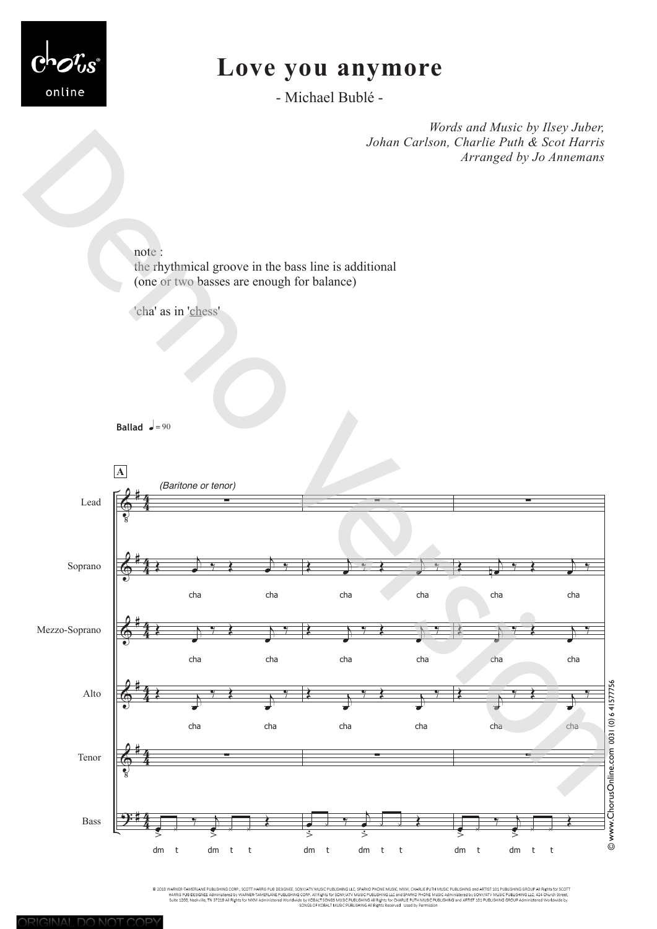

## **Love you anymore**

- Michael Bublé -

*Words and Music by Ilsey Juber, Johan Carlson, Charlie Puth & Scot Harris Arranged by Jo Annemans*

note : the rhythmical groove in the bass line is additional (one or two basses are enough for balance)

**Ballad**  $\sqrt{ } = 90$ 



D 2018 WARNER-TAMERUANE PUBLISHING CORP, SCOTT HARRIS PUB DESIGNEE, SONY/ATV MUSIC PUBLISHING LOS PARKO PHONE MUSIC, MXM, CHARLIE PUTH MUSIC PUBLISHING and ARTIST 101 PUBLISHING GROUP AII Rights for SCOTT HARRIS PUBLISHING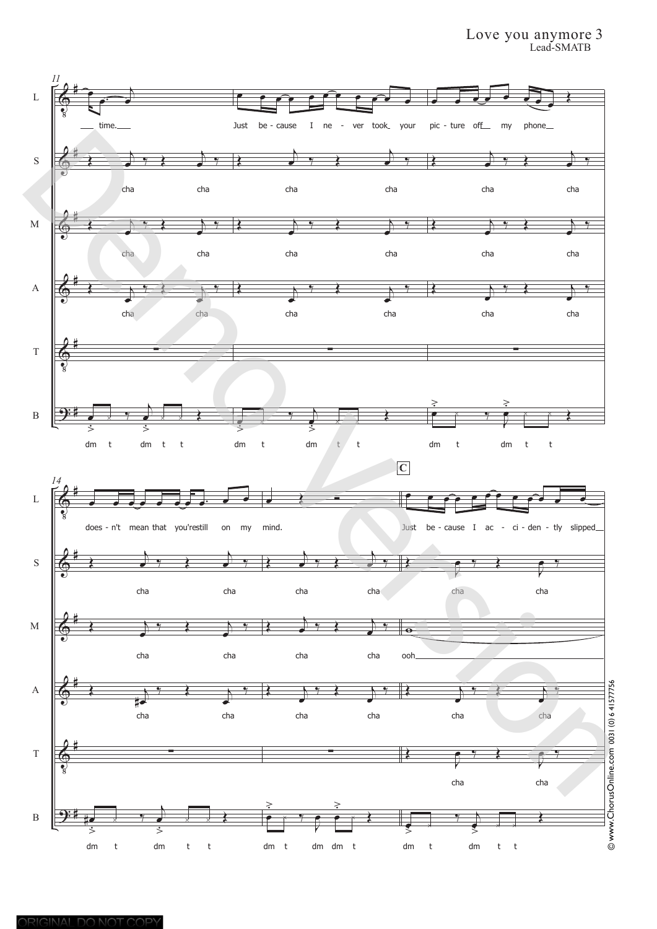## Love you anymore 3 Lead-SMATB

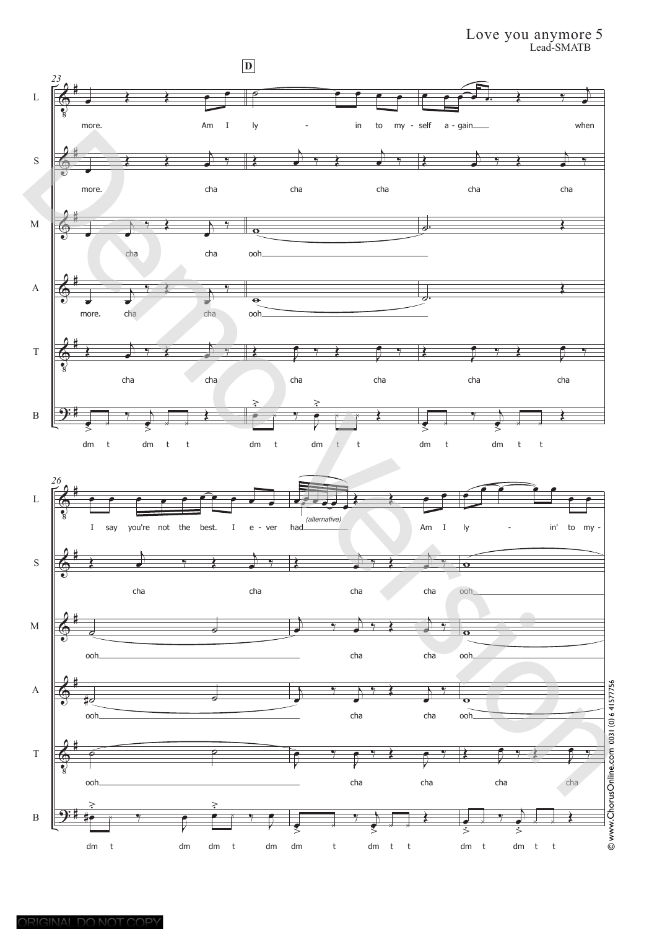Love you anymore 5 Lead-SMATB

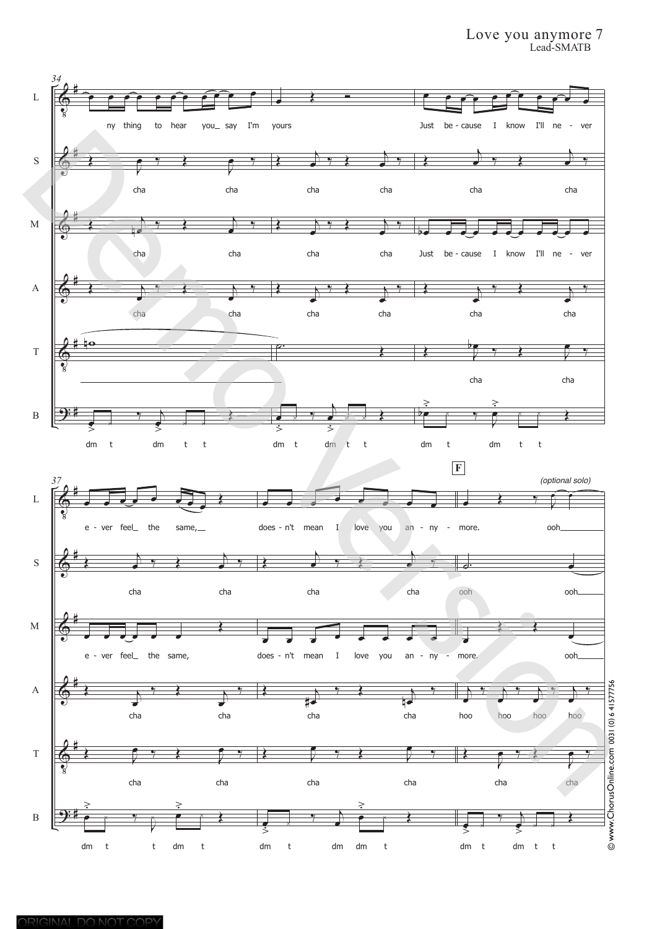## Love you anymore 7 Lead-SMATB

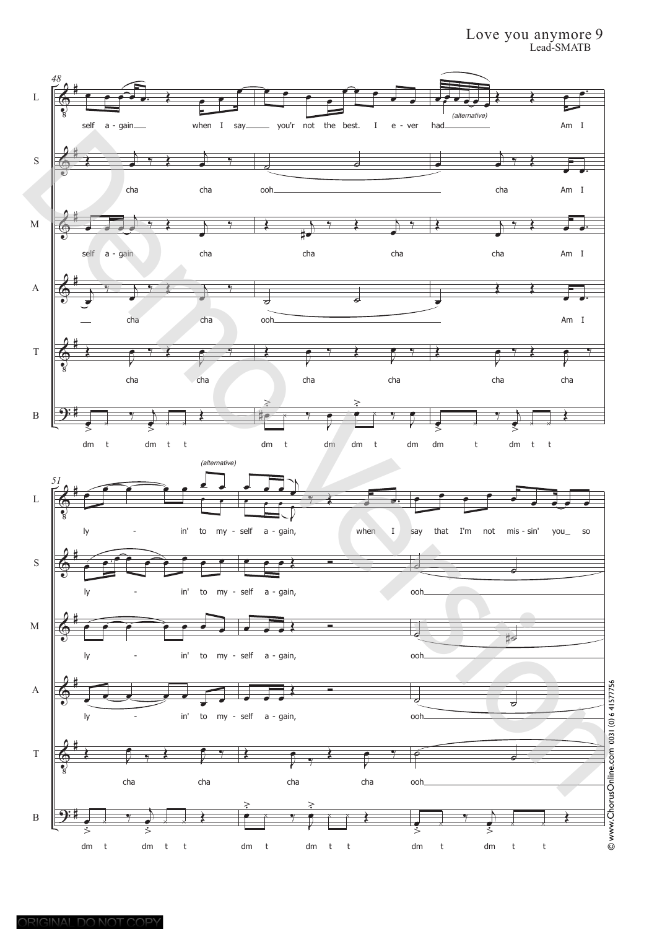Love you anymore 9 Lead-SMATB